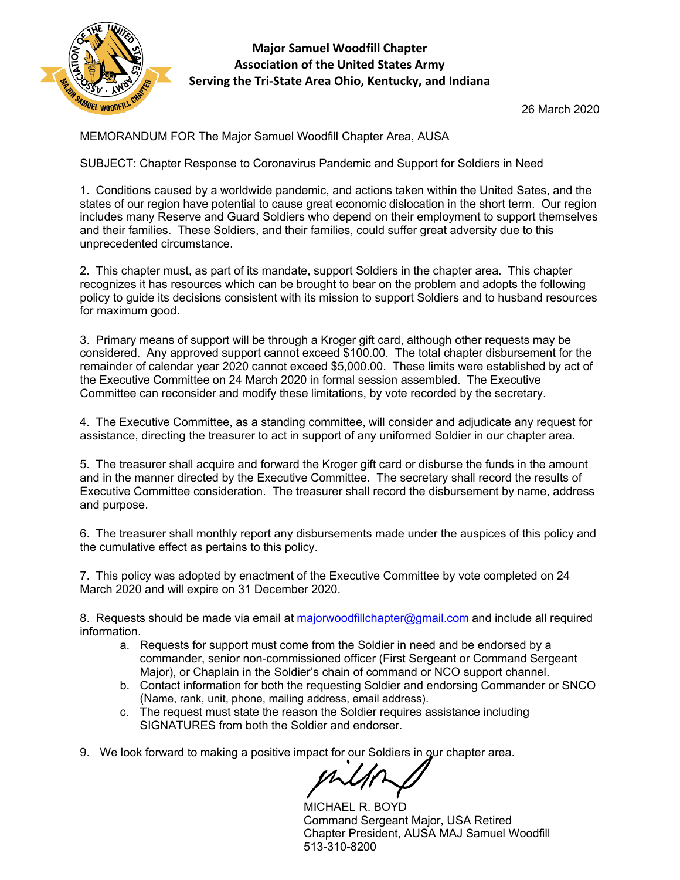

## **Major Samuel Woodfill Chapter Association of the United States Army Serving the Tri-State Area Ohio, Kentucky, and Indiana**

26 March 2020

MEMORANDUM FOR The Major Samuel Woodfill Chapter Area, AUSA

SUBJECT: Chapter Response to Coronavirus Pandemic and Support for Soldiers in Need

1. Conditions caused by a worldwide pandemic, and actions taken within the United Sates, and the states of our region have potential to cause great economic dislocation in the short term. Our region includes many Reserve and Guard Soldiers who depend on their employment to support themselves and their families. These Soldiers, and their families, could suffer great adversity due to this unprecedented circumstance.

2. This chapter must, as part of its mandate, support Soldiers in the chapter area. This chapter recognizes it has resources which can be brought to bear on the problem and adopts the following policy to guide its decisions consistent with its mission to support Soldiers and to husband resources for maximum good.

3. Primary means of support will be through a Kroger gift card, although other requests may be considered. Any approved support cannot exceed \$100.00. The total chapter disbursement for the remainder of calendar year 2020 cannot exceed \$5,000.00. These limits were established by act of the Executive Committee on 24 March 2020 in formal session assembled. The Executive Committee can reconsider and modify these limitations, by vote recorded by the secretary.

4. The Executive Committee, as a standing committee, will consider and adjudicate any request for assistance, directing the treasurer to act in support of any uniformed Soldier in our chapter area.

5. The treasurer shall acquire and forward the Kroger gift card or disburse the funds in the amount and in the manner directed by the Executive Committee. The secretary shall record the results of Executive Committee consideration. The treasurer shall record the disbursement by name, address and purpose.

6. The treasurer shall monthly report any disbursements made under the auspices of this policy and the cumulative effect as pertains to this policy.

7. This policy was adopted by enactment of the Executive Committee by vote completed on 24 March 2020 and will expire on 31 December 2020.

8. Requests should be made via email at majorwoodfillchapter@gmail.com and include all required information.

- a. Requests for support must come from the Soldier in need and be endorsed by a commander, senior non-commissioned officer (First Sergeant or Command Sergeant Major), or Chaplain in the Soldier's chain of command or NCO support channel.
- b. Contact information for both the requesting Soldier and endorsing Commander or SNCO (Name, rank, unit, phone, mailing address, email address).
- c. The request must state the reason the Soldier requires assistance including SIGNATURES from both the Soldier and endorser.
- 9. We look forward to making a positive impact for our Soldiers in our chapter area.

MICHAEL R. BOYD Command Sergeant Major, USA Retired Chapter President, AUSA MAJ Samuel Woodfill 513-310-8200